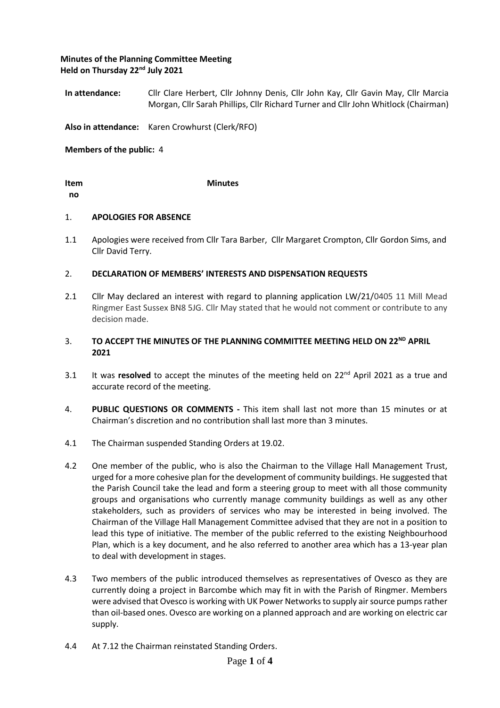# **Minutes of the Planning Committee Meeting Held on Thursday 22nd July 2021**

**In attendance:** Cllr Clare Herbert, Cllr Johnny Denis, Cllr John Kay, Cllr Gavin May, Cllr Marcia Morgan, Cllr Sarah Phillips, Cllr Richard Turner and Cllr John Whitlock (Chairman)

**Also in attendance:** Karen Crowhurst (Clerk/RFO)

**Members of the public:** 4

**Item no**

### 1. **APOLOGIES FOR ABSENCE**

1.1 Apologies were received from Cllr Tara Barber, Cllr Margaret Crompton, Cllr Gordon Sims, and Cllr David Terry.

#### 2. **DECLARATION OF MEMBERS' INTERESTS AND DISPENSATION REQUESTS**

 **Minutes**

2.1 Cllr May declared an interest with regard to planning application LW/21/0405 11 Mill Mead Ringmer East Sussex BN8 5JG. Cllr May stated that he would not comment or contribute to any decision made.

### 3. TO ACCEPT THE MINUTES OF THE PLANNING COMMITTEE MEETING HELD ON 22<sup>ND</sup> APRIL **2021**

- 3.1 It was **resolved** to accept the minutes of the meeting held on 22<sup>nd</sup> April 2021 as a true and accurate record of the meeting.
- 4. **PUBLIC QUESTIONS OR COMMENTS -** This item shall last not more than 15 minutes or at Chairman's discretion and no contribution shall last more than 3 minutes.
- 4.1 The Chairman suspended Standing Orders at 19.02.
- 4.2 One member of the public, who is also the Chairman to the Village Hall Management Trust, urged for a more cohesive plan for the development of community buildings. He suggested that the Parish Council take the lead and form a steering group to meet with all those community groups and organisations who currently manage community buildings as well as any other stakeholders, such as providers of services who may be interested in being involved. The Chairman of the Village Hall Management Committee advised that they are not in a position to lead this type of initiative. The member of the public referred to the existing Neighbourhood Plan, which is a key document, and he also referred to another area which has a 13-year plan to deal with development in stages.
- 4.3 Two members of the public introduced themselves as representatives of Ovesco as they are currently doing a project in Barcombe which may fit in with the Parish of Ringmer. Members were advised that Ovesco is working with UK Power Networks to supply air source pumps rather than oil-based ones. Ovesco are working on a planned approach and are working on electric car supply.
- 4.4 At 7.12 the Chairman reinstated Standing Orders.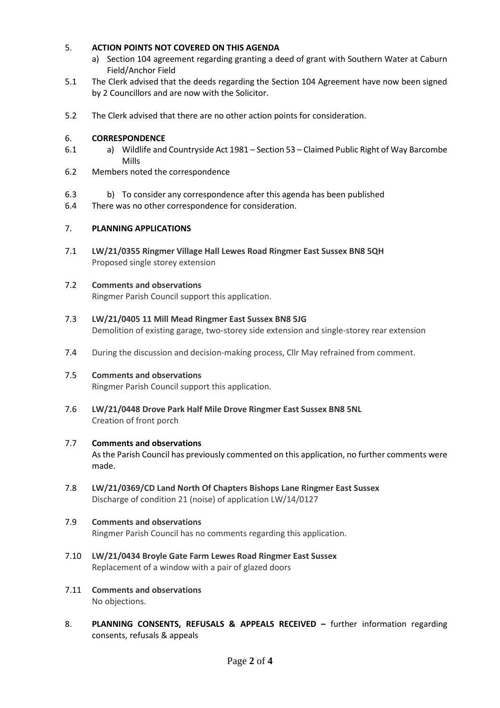#### 5. **ACTION POINTS NOT COVERED ON THIS AGENDA**

- a) Section 104 agreement regarding granting a deed of grant with Southern Water at Caburn Field/Anchor Field
- 5.1 The Clerk advised that the deeds regarding the Section 104 Agreement have now been signed by 2 Councillors and are now with the Solicitor.
- 5.2 The Clerk advised that there are no other action points for consideration.

#### 6. **CORRESPONDENCE**

- 6.1 a) Wildlife and Countryside Act 1981 – Section 53 – Claimed Public Right of Way Barcombe Mills
- 6.2 Members noted the correspondence
- 6.3 b) To consider any correspondence after this agenda has been published
- 6.4 There was no other correspondence for consideration.

#### 7. **PLANNING APPLICATIONS**

7.1 **LW/21/0355 Ringmer Village Hall Lewes Road Ringmer East Sussex BN8 5QH** Proposed single storey extension

#### 7.2 **Comments and observations**

Ringmer Parish Council support this application.

- 7.3 **LW/21/0405 11 Mill Mead Ringmer East Sussex BN8 5JG** Demolition of existing garage, two-storey side extension and single-storey rear extension
- 7.4 During the discussion and decision-making process, Cllr May refrained from comment.

#### 7.5 **Comments and observations**

Ringmer Parish Council support this application.

7.6 **LW/21/0448 Drove Park Half Mile Drove Ringmer East Sussex BN8 5NL** Creation of front porch

#### 7.7 **Comments and observations**

As the Parish Council has previously commented on this application, no further comments were made.

7.8 **LW/21/0369/CD Land North Of Chapters Bishops Lane Ringmer East Sussex** Discharge of condition 21 (noise) of application LW/14/0127

#### 7.9 **Comments and observations**

Ringmer Parish Council has no comments regarding this application.

- 7.10 **LW/21/0434 Broyle Gate Farm Lewes Road Ringmer East Sussex** Replacement of a window with a pair of glazed doors
- 7.11 **Comments and observations** No objections.
- 8. **PLANNING CONSENTS, REFUSALS & APPEALS RECEIVED –** further information regarding consents, refusals & appeals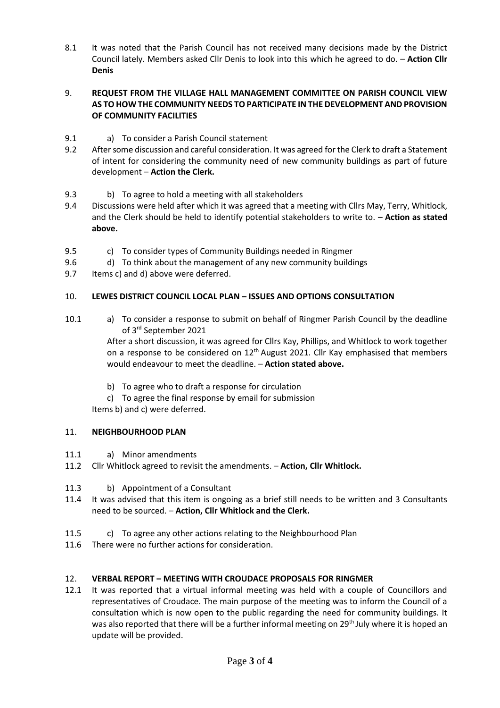8.1 It was noted that the Parish Council has not received many decisions made by the District Council lately. Members asked Cllr Denis to look into this which he agreed to do. – **Action Cllr Denis**

### 9. **REQUEST FROM THE VILLAGE HALL MANAGEMENT COMMITTEE ON PARISH COUNCIL VIEW AS TO HOW THE COMMUNITY NEEDS TO PARTICIPATE IN THE DEVELOPMENT AND PROVISION OF COMMUNITY FACILITIES**

- 9.1 a) To consider a Parish Council statement
- 9.2 After some discussion and careful consideration. It was agreed for the Clerk to draft a Statement of intent for considering the community need of new community buildings as part of future development – **Action the Clerk.**
- 9.3 b) To agree to hold a meeting with all stakeholders
- 9.4 Discussions were held after which it was agreed that a meeting with Cllrs May, Terry, Whitlock, and the Clerk should be held to identify potential stakeholders to write to. – **Action as stated above.**
- 9.5 c) To consider types of Community Buildings needed in Ringmer
- 9.6 d) To think about the management of any new community buildings
- 9.7 Items c) and d) above were deferred.

#### 10. **LEWES DISTRICT COUNCIL LOCAL PLAN – ISSUES AND OPTIONS CONSULTATION**

10.1 a) To consider a response to submit on behalf of Ringmer Parish Council by the deadline of 3rd September 2021

> After a short discussion, it was agreed for Cllrs Kay, Phillips, and Whitlock to work together on a response to be considered on  $12<sup>th</sup>$  August 2021. Cllr Kay emphasised that members would endeavour to meet the deadline. – **Action stated above.**

- b) To agree who to draft a response for circulation
- c) To agree the final response by email for submission

Items b) and c) were deferred.

#### 11. **NEIGHBOURHOOD PLAN**

- 11.1 a) Minor amendments
- 11.2 Cllr Whitlock agreed to revisit the amendments. **Action, Cllr Whitlock.**
- 11.3 b) Appointment of a Consultant
- 11.4 It was advised that this item is ongoing as a brief still needs to be written and 3 Consultants need to be sourced. – **Action, Cllr Whitlock and the Clerk.**
- 11.5 c) To agree any other actions relating to the Neighbourhood Plan
- 11.6 There were no further actions for consideration.

#### 12. **VERBAL REPORT – MEETING WITH CROUDACE PROPOSALS FOR RINGMER**

12.1 It was reported that a virtual informal meeting was held with a couple of Councillors and representatives of Croudace. The main purpose of the meeting was to inform the Council of a consultation which is now open to the public regarding the need for community buildings. It was also reported that there will be a further informal meeting on 29<sup>th</sup> July where it is hoped an update will be provided.